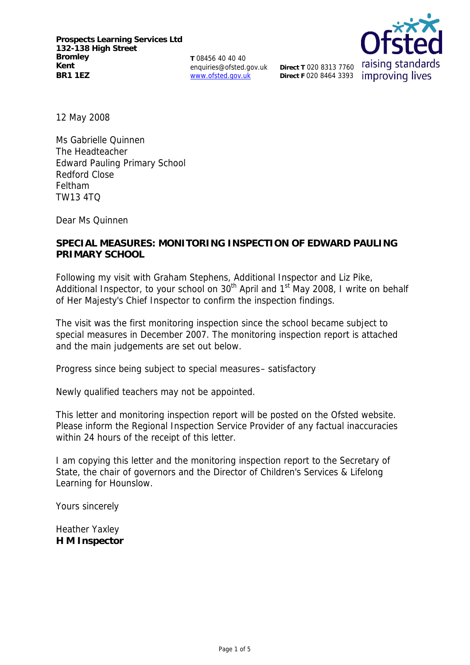**T** 08456 40 40 40 enquiries@ofsted.gov.uk www.ofsted.gov.uk



12 May 2008

Ms Gabrielle Quinnen The Headteacher Edward Pauling Primary School Redford Close Feltham TW13 4TQ

Dear Ms Quinnen

# **SPECIAL MEASURES: MONITORING INSPECTION OF EDWARD PAULING PRIMARY SCHOOL**

Following my visit with Graham Stephens, Additional Inspector and Liz Pike, Additional Inspector, to your school on  $30<sup>th</sup>$  April and  $1<sup>st</sup>$  May 2008, I write on behalf of Her Majesty's Chief Inspector to confirm the inspection findings.

The visit was the first monitoring inspection since the school became subject to special measures in December 2007. The monitoring inspection report is attached and the main judgements are set out below.

Progress since being subject to special measures– satisfactory

Newly qualified teachers may not be appointed.

This letter and monitoring inspection report will be posted on the Ofsted website. Please inform the Regional Inspection Service Provider of any factual inaccuracies within 24 hours of the receipt of this letter.

I am copying this letter and the monitoring inspection report to the Secretary of State, the chair of governors and the Director of Children's Services & Lifelong Learning for Hounslow.

Yours sincerely

Heather Yaxley **H M Inspector**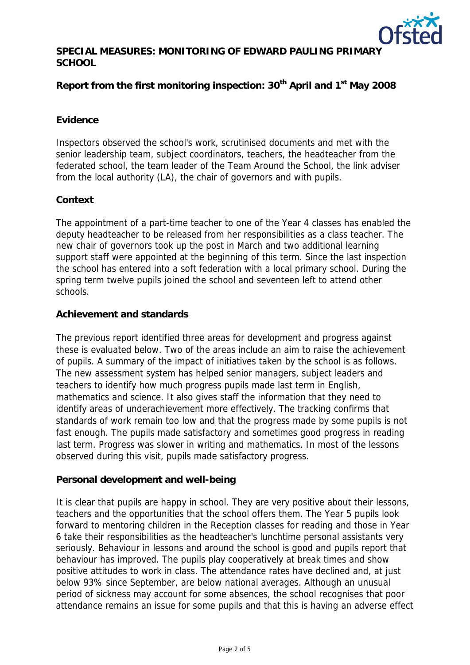

# **SPECIAL MEASURES: MONITORING OF EDWARD PAULING PRIMARY SCHOOL**

Report from the first monitoring inspection: 30<sup>th</sup> April and 1<sup>st</sup> May 2008

### **Evidence**

Inspectors observed the school's work, scrutinised documents and met with the senior leadership team, subject coordinators, teachers, the headteacher from the federated school, the team leader of the Team Around the School, the link adviser from the local authority (LA), the chair of governors and with pupils.

#### **Context**

The appointment of a part-time teacher to one of the Year 4 classes has enabled the deputy headteacher to be released from her responsibilities as a class teacher. The new chair of governors took up the post in March and two additional learning support staff were appointed at the beginning of this term. Since the last inspection the school has entered into a soft federation with a local primary school. During the spring term twelve pupils joined the school and seventeen left to attend other schools.

# **Achievement and standards**

The previous report identified three areas for development and progress against these is evaluated below. Two of the areas include an aim to raise the achievement of pupils. A summary of the impact of initiatives taken by the school is as follows. The new assessment system has helped senior managers, subject leaders and teachers to identify how much progress pupils made last term in English, mathematics and science. It also gives staff the information that they need to identify areas of underachievement more effectively. The tracking confirms that standards of work remain too low and that the progress made by some pupils is not fast enough. The pupils made satisfactory and sometimes good progress in reading last term. Progress was slower in writing and mathematics. In most of the lessons observed during this visit, pupils made satisfactory progress.

#### **Personal development and well-being**

It is clear that pupils are happy in school. They are very positive about their lessons, teachers and the opportunities that the school offers them. The Year 5 pupils look forward to mentoring children in the Reception classes for reading and those in Year 6 take their responsibilities as the headteacher's lunchtime personal assistants very seriously. Behaviour in lessons and around the school is good and pupils report that behaviour has improved. The pupils play cooperatively at break times and show positive attitudes to work in class. The attendance rates have declined and, at just below 93% since September, are below national averages. Although an unusual period of sickness may account for some absences, the school recognises that poor attendance remains an issue for some pupils and that this is having an adverse effect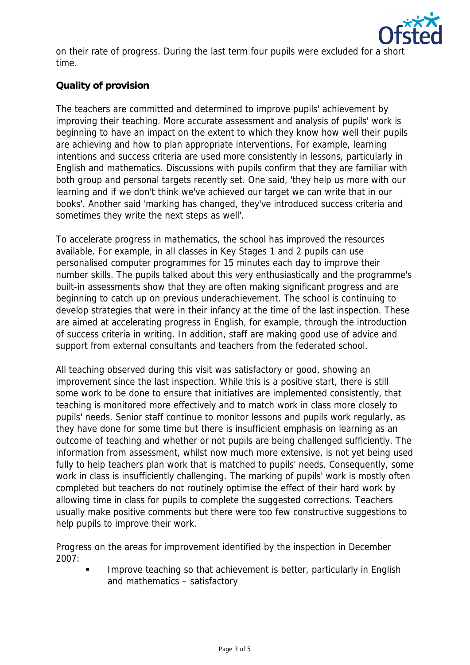

on their rate of progress. During the last term four pupils were excluded for a shor time.

# **Quality of provision**

The teachers are committed and determined to improve pupils' achievement by improving their teaching. More accurate assessment and analysis of pupils' work is beginning to have an impact on the extent to which they know how well their pupils are achieving and how to plan appropriate interventions. For example, learning intentions and success criteria are used more consistently in lessons, particularly in English and mathematics. Discussions with pupils confirm that they are familiar with both group and personal targets recently set. One said, 'they help us more with our learning and if we don't think we've achieved our target we can write that in our books'. Another said 'marking has changed, they've introduced success criteria and sometimes they write the next steps as well'.

To accelerate progress in mathematics, the school has improved the resources available. For example, in all classes in Key Stages 1 and 2 pupils can use personalised computer programmes for 15 minutes each day to improve their number skills. The pupils talked about this very enthusiastically and the programme's built-in assessments show that they are often making significant progress and are beginning to catch up on previous underachievement. The school is continuing to develop strategies that were in their infancy at the time of the last inspection. These are aimed at accelerating progress in English, for example, through the introduction of success criteria in writing. In addition, staff are making good use of advice and support from external consultants and teachers from the federated school.

All teaching observed during this visit was satisfactory or good, showing an improvement since the last inspection. While this is a positive start, there is still some work to be done to ensure that initiatives are implemented consistently, that teaching is monitored more effectively and to match work in class more closely to pupils' needs. Senior staff continue to monitor lessons and pupils work regularly, as they have done for some time but there is insufficient emphasis on learning as an outcome of teaching and whether or not pupils are being challenged sufficiently. The information from assessment, whilst now much more extensive, is not yet being used fully to help teachers plan work that is matched to pupils' needs. Consequently, some work in class is insufficiently challenging. The marking of pupils' work is mostly often completed but teachers do not routinely optimise the effect of their hard work by allowing time in class for pupils to complete the suggested corrections. Teachers usually make positive comments but there were too few constructive suggestions to help pupils to improve their work.

Progress on the areas for improvement identified by the inspection in December 2007:

 Improve teaching so that achievement is better, particularly in English and mathematics – satisfactory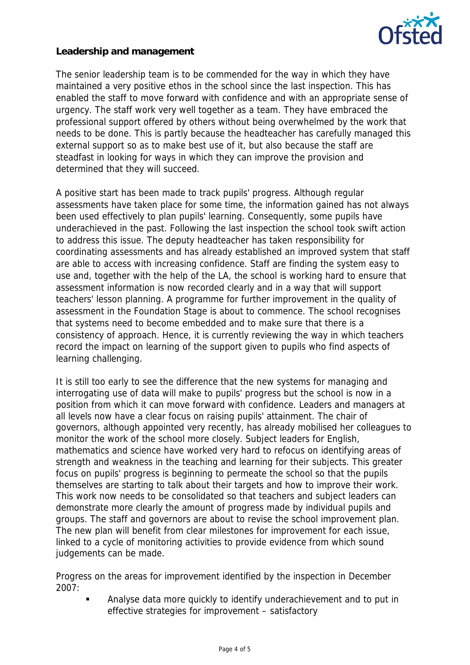

**Leadership and management**

The senior leadership team is to be commended for the way in which they have maintained a very positive ethos in the school since the last inspection. This has enabled the staff to move forward with confidence and with an appropriate sense of urgency. The staff work very well together as a team. They have embraced the professional support offered by others without being overwhelmed by the work that needs to be done. This is partly because the headteacher has carefully managed this external support so as to make best use of it, but also because the staff are steadfast in looking for ways in which they can improve the provision and determined that they will succeed.

A positive start has been made to track pupils' progress. Although regular assessments have taken place for some time, the information gained has not always been used effectively to plan pupils' learning. Consequently, some pupils have underachieved in the past. Following the last inspection the school took swift action to address this issue. The deputy headteacher has taken responsibility for coordinating assessments and has already established an improved system that staff are able to access with increasing confidence. Staff are finding the system easy to use and, together with the help of the LA, the school is working hard to ensure that assessment information is now recorded clearly and in a way that will support teachers' lesson planning. A programme for further improvement in the quality of assessment in the Foundation Stage is about to commence. The school recognises that systems need to become embedded and to make sure that there is a consistency of approach. Hence, it is currently reviewing the way in which teachers record the impact on learning of the support given to pupils who find aspects of learning challenging.

It is still too early to see the difference that the new systems for managing and interrogating use of data will make to pupils' progress but the school is now in a position from which it can move forward with confidence. Leaders and managers at all levels now have a clear focus on raising pupils' attainment. The chair of governors, although appointed very recently, has already mobilised her colleagues to monitor the work of the school more closely. Subject leaders for English, mathematics and science have worked very hard to refocus on identifying areas of strength and weakness in the teaching and learning for their subjects. This greater focus on pupils' progress is beginning to permeate the school so that the pupils themselves are starting to talk about their targets and how to improve their work. This work now needs to be consolidated so that teachers and subject leaders can demonstrate more clearly the amount of progress made by individual pupils and groups. The staff and governors are about to revise the school improvement plan. The new plan will benefit from clear milestones for improvement for each issue, linked to a cycle of monitoring activities to provide evidence from which sound judgements can be made.

Progress on the areas for improvement identified by the inspection in December 2007:

 Analyse data more quickly to identify underachievement and to put in effective strategies for improvement – satisfactory